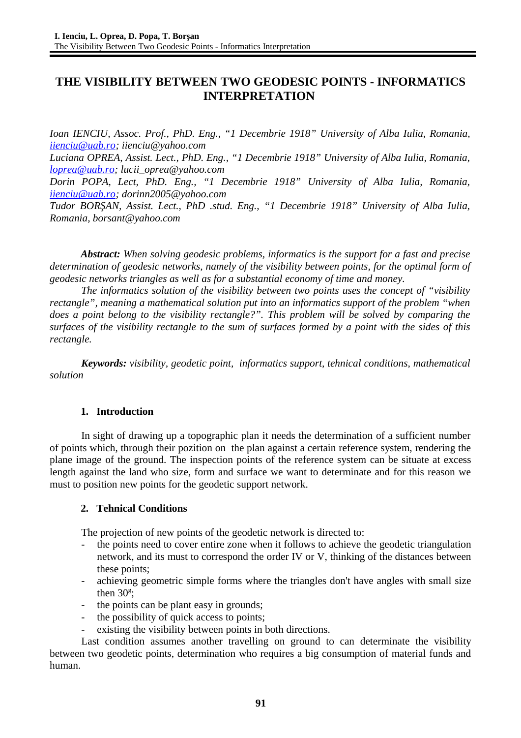# **THE VISIBILITY BETWEEN TWO GEODESIC POINTS - INFORMATICS INTERPRETATION**

*Ioan IENCIU, Assoc. Prof., PhD. Eng., "1 Decembrie 1918" University of Alba Iulia, Romania, [iienciu@uab.ro;](mailto:iienciu@uab.ro) iienciu@yahoo.com*

*Luciana OPREA, Assist. Lect., PhD. Eng., "1 Decembrie 1918" University of Alba Iulia, Romania, [loprea@uab.ro;](mailto:loprea@uab.ro) lucii\_oprea@yahoo.com*

*Dorin POPA, Lect, PhD. Eng., "1 Decembrie 1918" University of Alba Iulia, Romania, [iienciu@uab.ro;](mailto:iienciu@uab.ro) dorinn2005@yahoo.com*

*Tudor BORŞAN, Assist. Lect., PhD .stud. Eng., "1 Decembrie 1918" University of Alba Iulia, Romania, borsant@yahoo.com*

*Abstract: When solving geodesic problems, informatics is the support for a fast and precise determination of geodesic networks, namely of the visibility between points, for the optimal form of geodesic networks triangles as well as for a substantial economy of time and money.* 

*The informatics solution of the visibility between two points uses the concept of "visibility rectangle", meaning a mathematical solution put into an informatics support of the problem "when does a point belong to the visibility rectangle?". This problem will be solved by comparing the surfaces of the visibility rectangle to the sum of surfaces formed by a point with the sides of this rectangle.*

*Keywords: visibility, geodetic point, informatics support, tehnical conditions, mathematical solution*

### **1. Introduction**

In sight of drawing up a topographic plan it needs the determination of a sufficient number of points which, through their pozition on the plan against a certain reference system, rendering the plane image of the ground. The inspection points of the reference system can be situate at excess length against the land who size, form and surface we want to determinate and for this reason we must to position new points for the geodetic support network.

### **2. Tehnical Conditions**

The projection of new points of the geodetic network is directed to:

- the points need to cover entire zone when it follows to achieve the geodetic triangulation network, and its must to correspond the order IV or V, thinking of the distances between these points;
- achieving geometric simple forms where the triangles don't have angles with small size then  $30<sup>g</sup>$ ;
- the points can be plant easy in grounds;
- the possibility of quick access to points;
- existing the visibility between points in both directions.

Last condition assumes another travelling on ground to can determinate the visibility between two geodetic points, determination who requires a big consumption of material funds and human.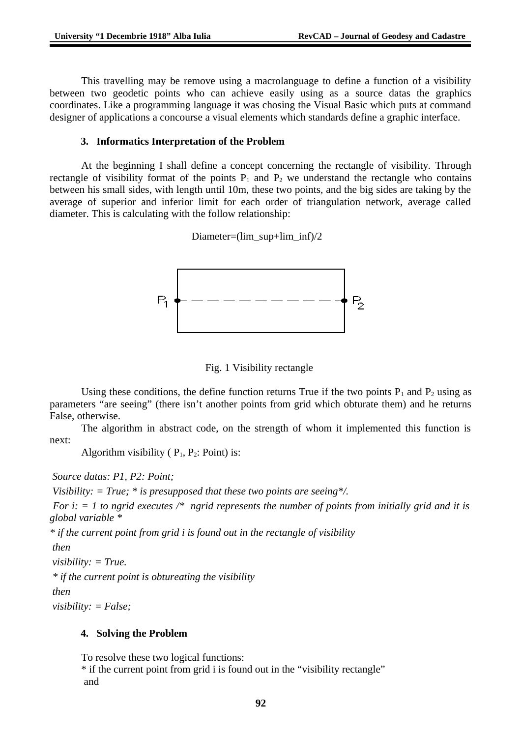This travelling may be remove using a macrolanguage to define a function of a visibility between two geodetic points who can achieve easily using as a source datas the graphics coordinates. Like a programming language it was chosing the Visual Basic which puts at command designer of applications a concourse a visual elements which standards define a graphic interface.

### **3. Informatics Interpretation of the Problem**

At the beginning I shall define a concept concerning the rectangle of visibility. Through rectangle of visibility format of the points  $P_1$  and  $P_2$  we understand the rectangle who contains between his small sides, with length until 10m, these two points, and the big sides are taking by the average of superior and inferior limit for each order of triangulation network, average called diameter. This is calculating with the follow relationship:

Diameter=(lim\_sup+lim\_inf)/2



Fig. 1 Visibility rectangle

Using these conditions, the define function returns True if the two points  $P_1$  and  $P_2$  using as parameters "are seeing" (there isn't another points from grid which obturate them) and he returns False, otherwise.

The algorithm in abstract code, on the strength of whom it implemented this function is next:

Algorithm visibility ( $P_1$ ,  $P_2$ : Point) is:

 *Source datas: P1, P2: Point;*

 *Visibility: = True; \* is presupposed that these two points are seeing\*/.*

 *For i: = 1 to ngrid executes /\* ngrid represents the number of points from initially grid and it is global variable \**

*\* if the current point from grid i is found out in the rectangle of visibility*

 *then*

 *visibility: = True.*

 *\* if the current point is obtureating the visibility*

 *then*

 *visibility: = False;*

## **4. Solving the Problem**

To resolve these two logical functions:

\* if the current point from grid i is found out in the "visibility rectangle" and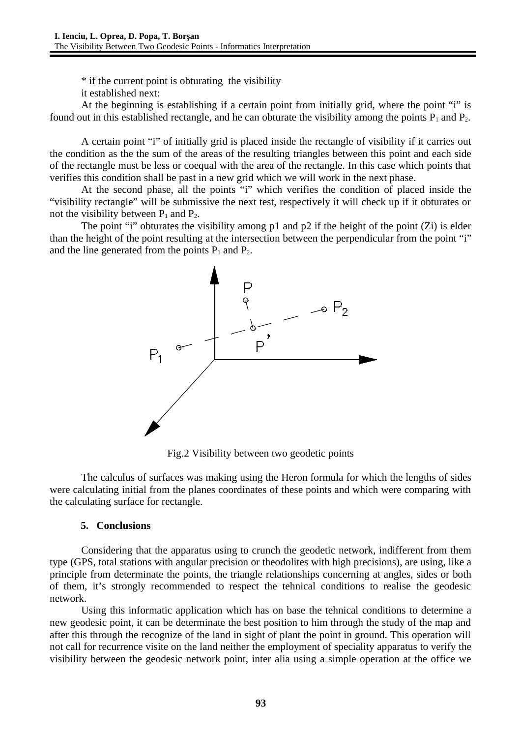\* if the current point is obturating the visibility

it established next:

At the beginning is establishing if a certain point from initially grid, where the point "i" is found out in this established rectangle, and he can obturate the visibility among the points  $P_1$  and  $P_2$ .

A certain point "i" of initially grid is placed inside the rectangle of visibility if it carries out the condition as the the sum of the areas of the resulting triangles between this point and each side of the rectangle must be less or coequal with the area of the rectangle. In this case which points that verifies this condition shall be past in a new grid which we will work in the next phase.

At the second phase, all the points "i" which verifies the condition of placed inside the "visibility rectangle" will be submissive the next test, respectively it will check up if it obturates or not the visibility between  $P_1$  and  $P_2$ .

The point "i" obturates the visibility among p1 and p2 if the height of the point (Zi) is elder than the height of the point resulting at the intersection between the perpendicular from the point "i" and the line generated from the points  $P_1$  and  $P_2$ .



Fig.2 Visibility between two geodetic points

The calculus of surfaces was making using the Heron formula for which the lengths of sides were calculating initial from the planes coordinates of these points and which were comparing with the calculating surface for rectangle.

#### **5. Conclusions**

Considering that the apparatus using to crunch the geodetic network, indifferent from them type (GPS, total stations with angular precision or theodolites with high precisions), are using, like a principle from determinate the points, the triangle relationships concerning at angles, sides or both of them, it's strongly recommended to respect the tehnical conditions to realise the geodesic network.

Using this informatic application which has on base the tehnical conditions to determine a new geodesic point, it can be determinate the best position to him through the study of the map and after this through the recognize of the land in sight of plant the point in ground. This operation will not call for recurrence visite on the land neither the employment of speciality apparatus to verify the visibility between the geodesic network point, inter alia using a simple operation at the office we